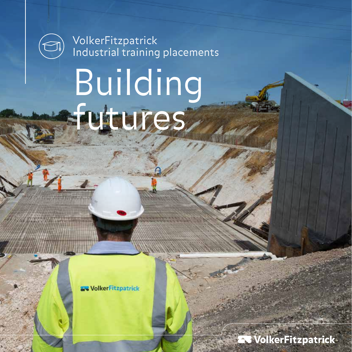

VolkerFitzpatrick Industrial training placements

# Building futures

**SolkerFitzpatrick** 

**B** VolkerFitzpatrick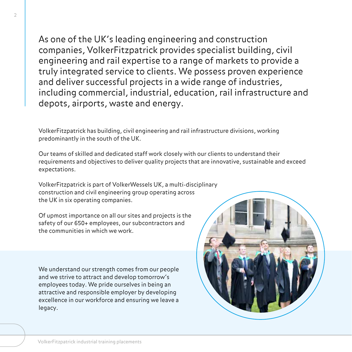$\overline{\mathfrak{c}}$ 

As one of the UK's leading engineering and construction companies, VolkerFitzpatrick provides specialist building, civil engineering and rail expertise to a range of markets to provide a truly integrated service to clients. We possess proven experience and deliver successful projects in a wide range of industries, including commercial, industrial, education, rail infrastructure and depots, airports, waste and energy.

VolkerFitzpatrick has building, civil engineering and rail infrastructure divisions, working predominantly in the south of the UK.

Our teams of skilled and dedicated staff work closely with our clients to understand their requirements and objectives to deliver quality projects that are innovative, sustainable and exceed expectations.

VolkerFitzpatrick is part of VolkerWessels UK, a multi-disciplinary construction and civil engineering group operating across the UK in six operating companies.

Of upmost importance on all our sites and projects is the safety of our 650+ employees, our subcontractors and the communities in which we work.

We understand our strength comes from our people and we strive to attract and develop tomorrow's employees today. We pride ourselves in being an attractive and responsible employer by developing excellence in our workforce and ensuring we leave a legacy.

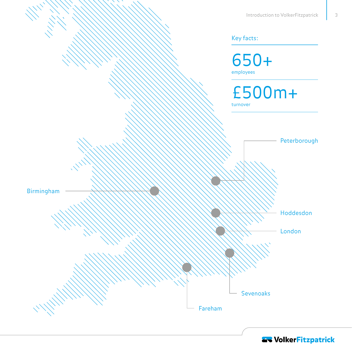3



**AV VolkerFitzpatrick**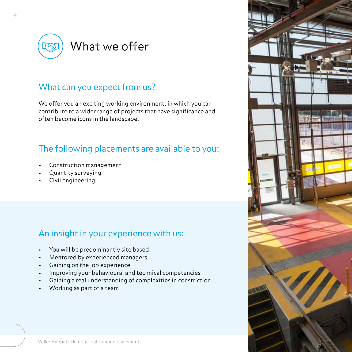

#### What can you expect from us?

We offer you an exciting working environment, in which you can contribute to a wider range of projects that have significance and often become icons in the landscape.

#### The following placements are available to you:

- Construction management
- Quantity surveying
- Civil engineering

#### An insight in your experience with us:

- You will be predominantly site based
- Mentored by experienced managers
- Gaining on the job experience
- Improving your behavioural and technical competencies
- Gaining a real understanding of complexities in constriction
- Working as part of a team

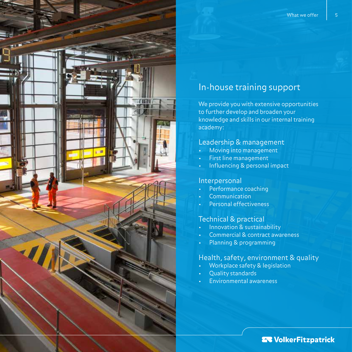#### In-house training support

We provide you with extensive opportunities to further develop and broaden your knowledge and skills in our internal training academy:

#### Leadership & management

- Moving into management
- First line management
- Influencing & personal impact

#### Interpersonal

- Performance coaching
- **Communication**
- Personal effectiveness

#### Technical & practical

- Innovation & sustainability
- Commercial & contract awareness
- Planning & programming

#### Health, safety, environment & quality

- Workplace safety & legislation
- Quality standards
- Environmental awareness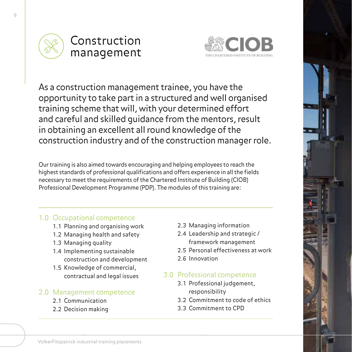



As a construction management trainee, you have the opportunity to take part in a structured and well organised training scheme that will, with your determined effort and careful and skilled guidance from the mentors, result in obtaining an excellent all round knowledge of the construction industry and of the construction manager role.

Our training is also aimed towards encouraging and helping employees to reach the highest standards of professional qualifications and offers experience in all the fields necessary to meet the requirements of the Chartered Institute of Building (CIOB) Professional Development Programme (PDP). The modules of this training are:

#### 1.0 Occupational competence

- 1.1 Planning and organising work
- 1.2 Managing health and safety
- 1.3 Managing quality
- 1.4 Implementing sustainable construction and development
- 1.5 Knowledge of commercial, contractual and legal issues

#### 2.0 Management competence

- 2.1 Communication
- 2.2 Decision making
- 2.3 Managing information
- 2.4 Leadership and strategic / framework management
- 2.5 Personal effectiveness at work
- 2.6 Innovation

#### 3.0 Professional competence

- 3.1 Professional judgement, responsibility
- 3.2 Commitment to code of ethics
- 3.3 Commitment to CPD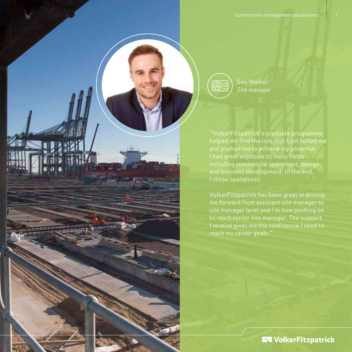Ben Walker *Site manager*

 $\textcircled{\scriptsize{R}}$ 

subijon co

"VolkerFitzpatrick's graduate programme helped me find the role that best suited me and pushed me to achieve my potential. I had great exposure to many fields including commercial operations, design and business development. In the end, I chose operations.

VolkerFitzpatrick has been great in driving me forward from assistant site manager to site manager level and I'm now pushing on to reach senior site manager. The support I receive gives me the confidence I need to reach my career goals."

**28 VolkerFitzpatrick**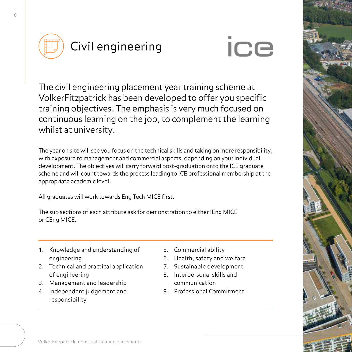

## **ice**

The civil engineering placement year training scheme at VolkerFitzpatrick has been developed to offer you specific training objectives. The emphasis is very much focused on continuous learning on the job, to complement the learning whilst at university.

The year on site will see you focus on the technical skills and taking on more responsibility, with exposure to management and commercial aspects, depending on your individual development. The objectives will carry forward post-graduation onto the ICE graduate scheme and will count towards the process leading to ICE professional membership at the appropriate academic level.

All graduates will work towards Eng Tech MICE first.

The sub sections of each attribute ask for demonstration to either IEng MICE or CEng MICE.

- 1. Knowledge and understanding of engineering
- 2. Technical and practical application of engineering
- 3. Management and leadership
- 4. Independent judgement and responsibility
- 5. Commercial ability
- 6. Health, safety and welfare
- 7. Sustainable development
- 8. Interpersonal skills and communication
- 9. Professional Commitment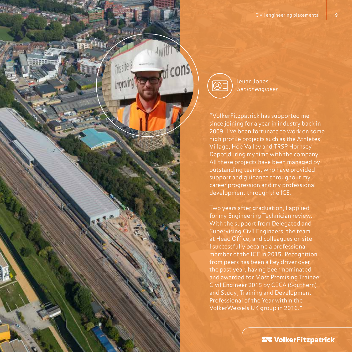



Ieuan Jones *Senior engineer*

"VolkerFitzpatrick has supported me since joining for a year in industry back in 2009. I've been fortunate to work on some high profile projects such as the Athletes' Village, Hoe Valley and TRSP Hornsey Depot during my time with the company. All these projects have been managed by outstanding teams, who have provided support and guidance throughout my career progression and my professional development through the ICE.

Two years after graduation, I applied for my Engineering Technician review. With the support from Delegated and Supervising Civil Engineers, the team at Head Office, and colleagues on site I successfully became a professional member of the ICE in 2015. Recognition from peers has been a key driver over the past year, having been nominated and awarded for Most Promising Trainee Civil Engineer 2015 by CECA (Southern) and Study, Training and Development Professional of the Year within the VolkerWessels UK group in 2016."

Sa VolkerFitzpatrick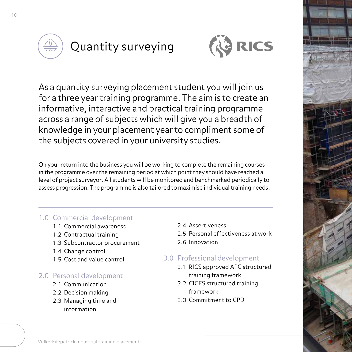

### Quantity surveying



As a quantity surveying placement student you will join us for a three year training programme. The aim is to create an informative, interactive and practical training programme across a range of subjects which will give you a breadth of knowledge in your placement year to compliment some of the subjects covered in your university studies.

On your return into the business you will be working to complete the remaining courses in the programme over the remaining period at which point they should have reached a level of project surveyor. All students will be monitored and benchmarked periodically to assess progression. The programme is also tailored to maximise individual training needs.

#### 1.0 Commercial development

- 1.1 Commercial awareness
- 1.2 Contractual training
- 1.3 Subcontractor procurement
- 1.4 Change control
- 1.5 Cost and value control

#### 2.0 Personal development

- 2.1 Communication
- 2.2 Decision making
- 2.3 Managing time and information
- 2.4 Assertiveness
- 2.5 Personal effectiveness at work
- 2.6 Innovation

#### 3.0 Professional development

- 3.1 RICS approved APC structured training framework
- 3.2 CICES structured training framework
- 3.3 Commitment to CPD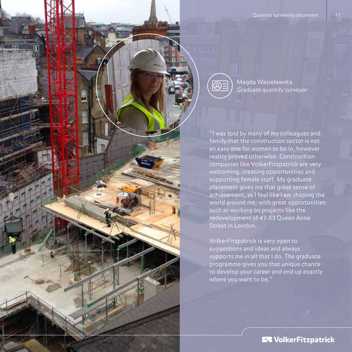$| \bigcirc \!\!\!\! \otimes$ 

Magda Wasielewska *Graduate quantity surveyor*

"I was told by many of my colleagues and family that the construction sector is not an easy one for women to be in, however reality proved otherwise. Construction companies like VolkerFitzpatrick are very welcoming, creating opportunities and supporting female staff. My graduate placement gives me that great sense of achievement, as I feel like I am shaping the world around me; with great opportunities such as working on projects like the redevelopment of 47-53 Queen Anne Street in London.

VolkerFitzpatrick is very open to suggestions and ideas and always supports me in all that I do. The graduate programme gives you that unique chance to develop your career and end up exactly where you want to be."

**27 VolkerFitzpatrick**